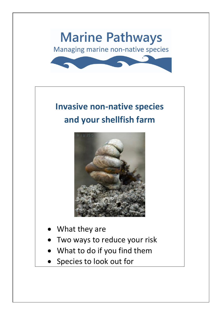

# **Invasive non-native species and your shellfish farm**



- What they are
- Two ways to reduce your risk
- What to do if you find them
- Species to look out for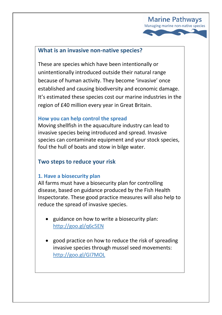

## **What is an invasive non-native species?**

These are species which have been intentionally or unintentionally introduced outside their natural range because of human activity. They become 'invasive' once established and causing biodiversity and economic damage. It's estimated these species cost our marine industries in the region of £40 million every year in Great Britain.

#### **How you can help control the spread**

Moving shellfish in the aquaculture industry can lead to invasive species being introduced and spread. Invasive species can contaminate equipment and your stock species, foul the hull of boats and stow in bilge water.

## **Two steps to reduce your risk**

#### **1. Have a biosecurity plan**

All farms must have a biosecurity plan for controlling disease, based on guidance produced by the Fish Health Inspectorate. These good practice measures will also help to reduce the spread of invasive species.

- guidance on how to write a biosecurity plan: <http://goo.gl/q6c5EN>
- good practice on how to reduce the risk of spreading invasive species through mussel seed movements: <http://goo.gl/GI7MOL>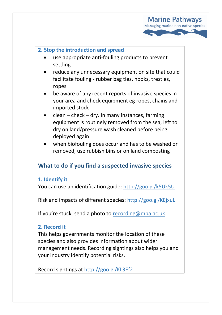

## **2. Stop the introduction and spread**

- use appropriate anti-fouling products to prevent settling
- reduce any unnecessary equipment on site that could facilitate fouling - rubber bag ties, hooks, trestles, ropes
- be aware of any recent reports of invasive species in your area and check equipment eg ropes, chains and imported stock
- clean check dry. In many instances, farming equipment is routinely removed from the sea, left to dry on land/pressure wash cleaned before being deployed again
- when biofouling does occur and has to be washed or removed, use rubbish bins or on land composting

## **What to do if you find a suspected invasive species**

#### **1. Identify it**

You can use an identification guide:<http://goo.gl/k5Uk5U>

Risk and impacts of different species[: http://goo.gl/KEjxuL](http://goo.gl/KEjxuL)

If you're stuck, send a photo to [recording@mba.ac.uk](mailto:recording@mba.ac.uk)

## **2. Record it**

This helps governments monitor the location of these species and also provides information about wider management needs. Recording sightings also helps you and your industry identify potential risks.

Record sightings at <http://goo.gl/KL3Ef2>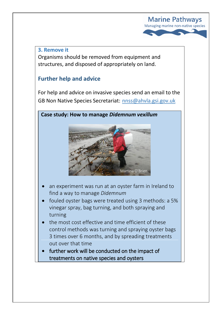

#### **3. Remove it**

Organisms should be removed from equipment and structures, and disposed of appropriately on land.

## **Further help and advice**

For help and advice on invasive species send an email to the GB Non Native Species Secretariat: [nnss@ahvla.gsi.gov.uk](mailto:nnss@ahvla.gsi.gov.uk)